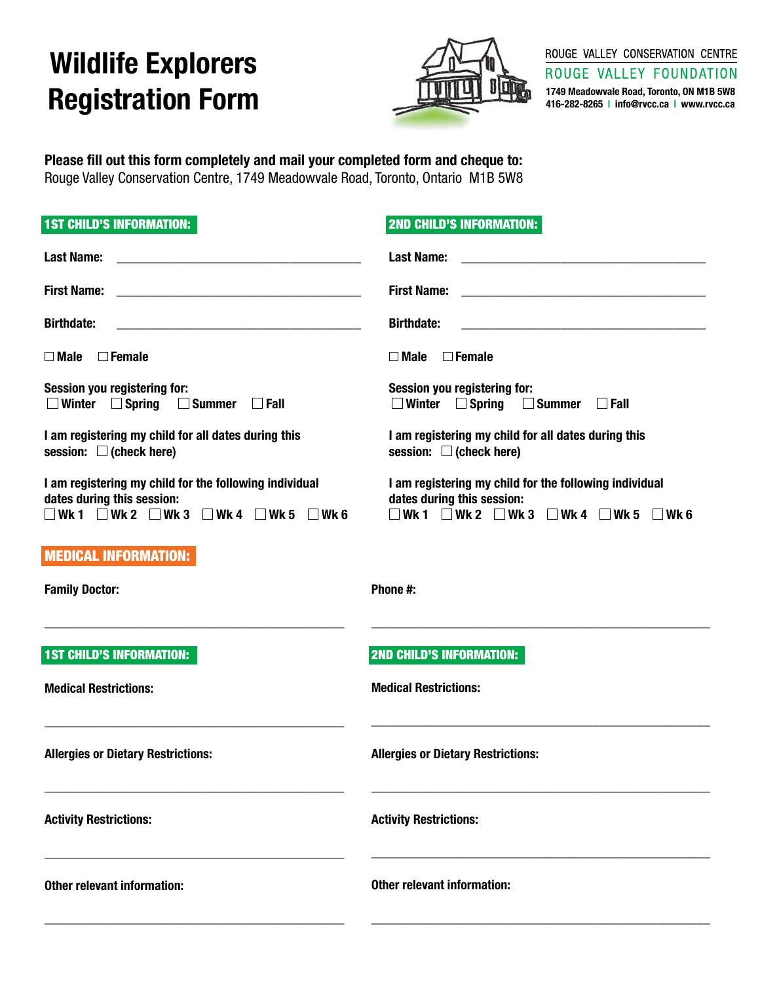## **Wildlife Explorers Registration Form**



ROUGE VALLEY CONSERVATION CENTRE

ROUGE VALLEY FOUNDATION

**1749 Meadowvale Road, Toronto, ON M1B 5W8 416-282-8265 | info@rvcc.ca | www.rvcc.ca**

**Please fill out this form completely and mail your completed form and cheque to:**  Rouge Valley Conservation Centre, 1749 Meadowvale Road, Toronto, Ontario M1B 5W8

| <b>1ST CHILD'S INFORMATION:</b>                                                                                                                               | <b>2ND CHILD'S INFORMATION:</b>                                                                                                                        |  |
|---------------------------------------------------------------------------------------------------------------------------------------------------------------|--------------------------------------------------------------------------------------------------------------------------------------------------------|--|
| <b>Last Name:</b>                                                                                                                                             | <b>Last Name:</b>                                                                                                                                      |  |
| <b>First Name:</b>                                                                                                                                            | <b>First Name:</b><br><u> 1980 - Johann Barn, mars eta bainar eta baina eta baina eta baina eta baina eta baina eta baina eta baina e</u>              |  |
| <b>Birthdate:</b>                                                                                                                                             | <b>Birthdate:</b><br><u> 2000 - Jan James James James James James James James James James James James James James James James James J</u>              |  |
| $\Box$ Female<br>$\square$ Male                                                                                                                               | $\square$ Female<br>$\Box$ Male                                                                                                                        |  |
| Session you registering for:<br>$\Box$ Winter $\Box$ Spring<br>$\Box$ Summer<br>$\Box$ Fall                                                                   | Session you registering for:<br>$\Box$ Winter $\Box$ Spring<br>$\Box$ Summer<br>$\Box$ Fall                                                            |  |
| I am registering my child for all dates during this<br>session: $\Box$ (check here)                                                                           | I am registering my child for all dates during this<br>session: $\Box$ (check here)                                                                    |  |
| I am registering my child for the following individual<br>dates during this session:<br>$\neg$ Wk1 $\neg$ Wk2 $\neg$ Wk3 $\neg$ Wk4 $\neg$ Wk5<br>$\Box$ Wk 6 | I am registering my child for the following individual<br>dates during this session:<br>WK1 $\Box$ WK2 $\Box$ WK3 $\Box$ WK4 $\Box$ WK5<br>$\Box$ Wk 6 |  |
| <b>MEDICAL INFORMATION:</b>                                                                                                                                   |                                                                                                                                                        |  |
| <b>Family Doctor:</b>                                                                                                                                         | Phone #:                                                                                                                                               |  |
|                                                                                                                                                               |                                                                                                                                                        |  |
| <b>1ST CHILD'S INFORMATION:</b>                                                                                                                               | <b>2ND CHILD'S INFORMATION:</b>                                                                                                                        |  |
| <b>Medical Restrictions:</b>                                                                                                                                  | <b>Medical Restrictions:</b>                                                                                                                           |  |
| <b>Allergies or Dietary Restrictions:</b>                                                                                                                     | <b>Allergies or Dietary Restrictions:</b>                                                                                                              |  |
| <b>Activity Restrictions:</b>                                                                                                                                 | <b>Activity Restrictions:</b>                                                                                                                          |  |
| <b>Other relevant information:</b>                                                                                                                            | Other relevant information:                                                                                                                            |  |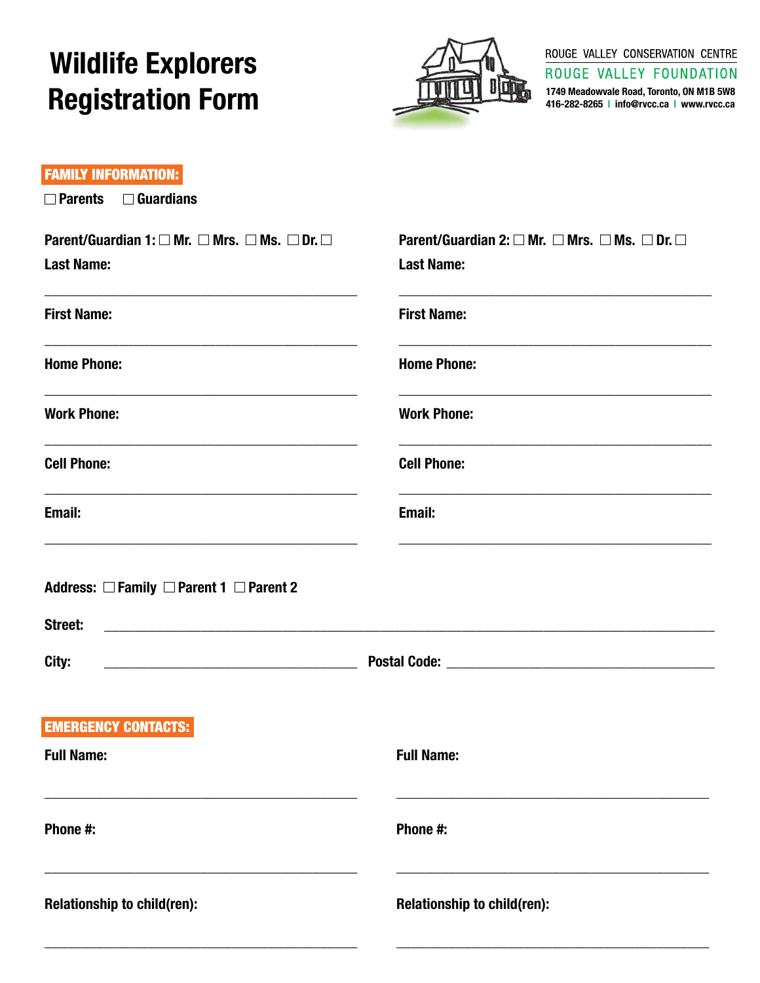# **Wildlife Explorers Registration Form**



#### ROUGE VALLEY CONSERVATION CENTRE ROUGE VALLEY FOUNDATION

1749 Meadowvale Road, Toronto, ON M1B 5W8<br>416-282-8265 | info@rvcc.ca | www.rvcc.ca

#### **FAMILY INFORMATION:**

| $\Box$ Parents $\Box$ Guardians                                                                                                                                                                                                                                                                                   |                                                                                                            |  |  |
|-------------------------------------------------------------------------------------------------------------------------------------------------------------------------------------------------------------------------------------------------------------------------------------------------------------------|------------------------------------------------------------------------------------------------------------|--|--|
| Parent/Guardian 1: $\square$ Mr. $\square$ Mrs. $\square$ Ms. $\square$ Dr. $\square$<br><b>Last Name:</b>                                                                                                                                                                                                        | Parent/Guardian 2: $\square$ Mr. $\square$ Mrs. $\square$ Ms. $\square$ Dr. $\square$<br><b>Last Name:</b> |  |  |
| <u> 1989 - Johann Harry Harry Harry Harry Harry Harry Harry Harry Harry Harry Harry Harry Harry Harry Harry Harry</u><br><b>First Name:</b>                                                                                                                                                                       | <u> 1989 - Johann Barn, amerikansk politiker (* 1908)</u><br><b>First Name:</b>                            |  |  |
| <b>Home Phone:</b>                                                                                                                                                                                                                                                                                                | <b>Home Phone:</b>                                                                                         |  |  |
| <b>Work Phone:</b>                                                                                                                                                                                                                                                                                                | <b>Work Phone:</b>                                                                                         |  |  |
| <u> 1989 - Johann Barbara, margaret eta idazlearia (h. 1982).</u><br><b>Cell Phone:</b>                                                                                                                                                                                                                           | <b>Cell Phone:</b>                                                                                         |  |  |
| the control of the control of the control of the control of the control of the control of the control of the control of the control of the control of the control of the control of the control of the control of the control<br>Email:                                                                           | Email:                                                                                                     |  |  |
| Address: $\Box$ Family $\Box$ Parent 1 $\Box$ Parent 2<br>Street:<br>City:<br><b>Note:</b> 2006. 2007. Postal Code: 2008. 2008. 2009. 2016. 2017. 2018. 2019. 2019. 2019. 2019. 2019. 2019. 2019. 2019. 2019. 2019. 2019. 2019. 2019. 2019. 2019. 2019. 2019. 2019. 2019. 2019. 2019. 2019. 2019. 2019. 2019. 201 |                                                                                                            |  |  |
| <b>EMERGENCY CONTACTS:</b><br><b>Full Name:</b>                                                                                                                                                                                                                                                                   | <b>Full Name:</b>                                                                                          |  |  |
| Phone #:                                                                                                                                                                                                                                                                                                          | Phone #:                                                                                                   |  |  |
| Relationship to child(ren):                                                                                                                                                                                                                                                                                       | Relationship to child(ren):                                                                                |  |  |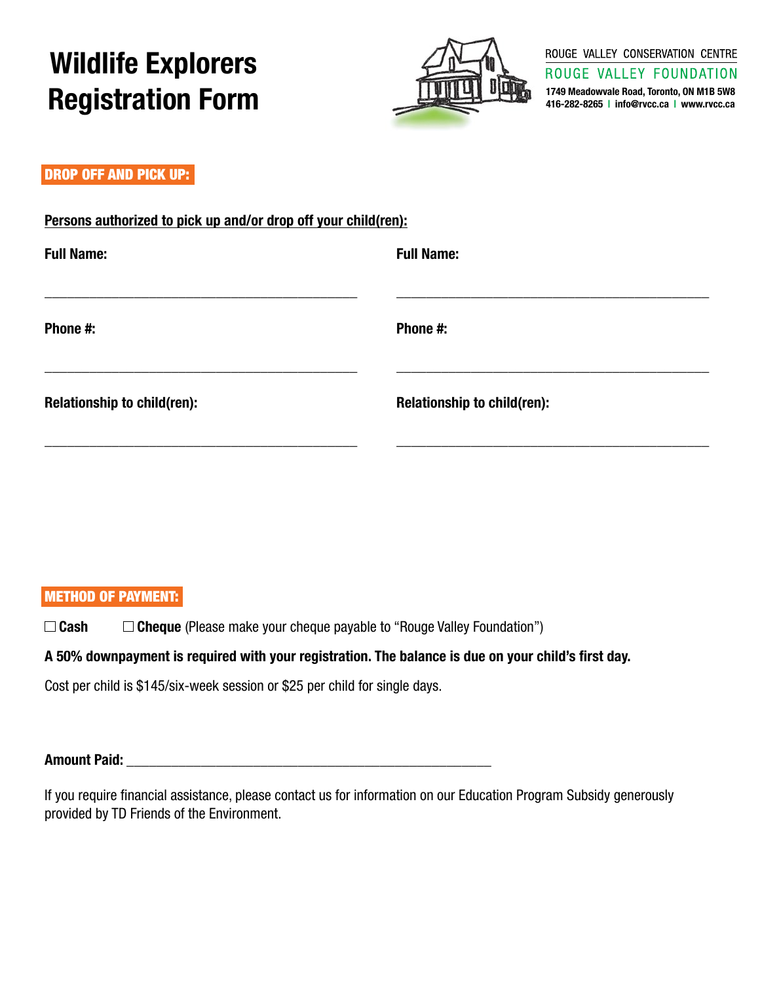# **Wildlife Explorers Registration Form**



ROUGE VALLEY CONSERVATION CENTRE

ROUGE VALLEY FOUNDATION **1749 Meadowvale Road, Toronto, ON M1B 5W8 416-282-8265 | info@rvcc.ca | www.rvcc.ca**

#### DROP OFF AND PICK UP:

### **Persons authorized to pick up and/or drop off your child(ren):**

| <b>Full Name:</b>                  | <b>Full Name:</b>           |
|------------------------------------|-----------------------------|
| Phone #:                           | Phone #:                    |
| <b>Relationship to child(ren):</b> | Relationship to child(ren): |

### Method of Payment:

□ Cash **Cheque** (Please make your cheque payable to "Rouge Valley Foundation")

### **A 50% downpayment is required with your registration. The balance is due on your child's first day.**

Cost per child is \$145/six-week session or \$25 per child for single days.

### **Amount Paid: \_\_\_\_\_\_\_\_\_\_\_\_\_\_\_\_\_\_\_\_\_\_\_\_\_\_\_\_\_\_\_\_\_\_\_\_\_\_\_\_\_\_\_\_\_\_\_\_\_**

If you require financial assistance, please contact us for information on our Education Program Subsidy generously provided by TD Friends of the Environment.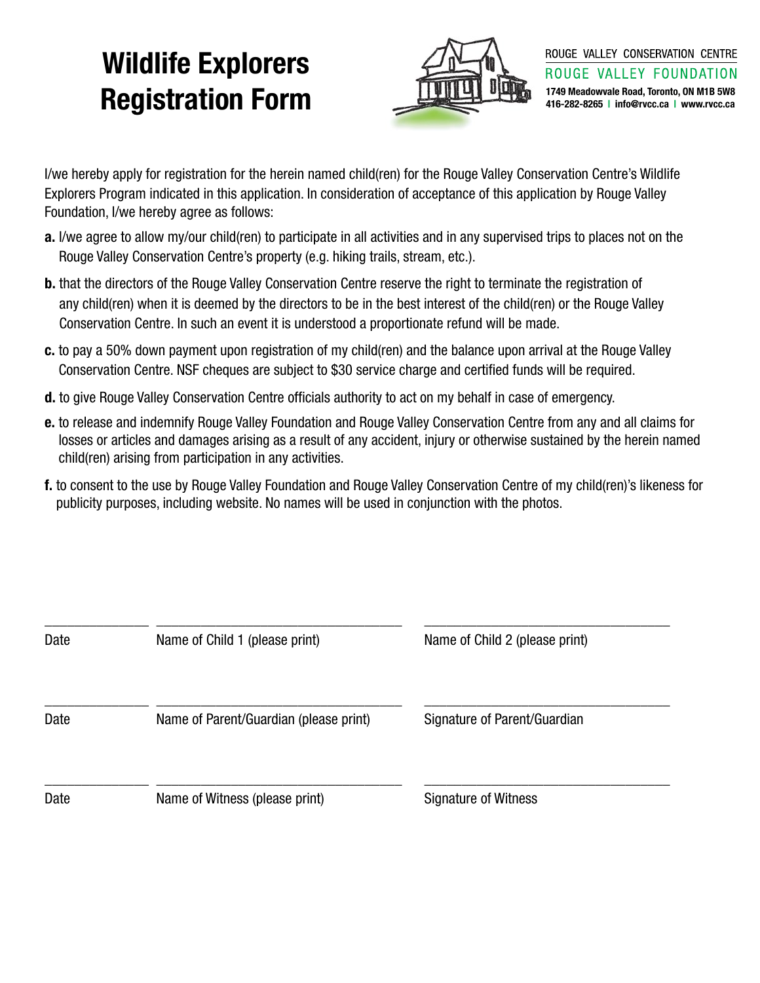# **Wildlife Explorers Registration Form** 1749 Meadowvale Road, Toronto, ON M1B 5W8



I/we hereby apply for registration for the herein named child(ren) for the Rouge Valley Conservation Centre's Wildlife Explorers Program indicated in this application. In consideration of acceptance of this application by Rouge Valley Foundation, I/we hereby agree as follows:

- **a.** I/we agree to allow my/our child(ren) to participate in all activities and in any supervised trips to places not on the Rouge Valley Conservation Centre's property (e.g. hiking trails, stream, etc.).
- **b.** that the directors of the Rouge Valley Conservation Centre reserve the right to terminate the registration of any child(ren) when it is deemed by the directors to be in the best interest of the child(ren) or the Rouge Valley Conservation Centre. In such an event it is understood a proportionate refund will be made.
- **c.** to pay a 50% down payment upon registration of my child(ren) and the balance upon arrival at the Rouge Valley Conservation Centre. NSF cheques are subject to \$30 service charge and certified funds will be required.
- **d.** to give Rouge Valley Conservation Centre officials authority to act on my behalf in case of emergency.
- **e.** to release and indemnify Rouge Valley Foundation and Rouge Valley Conservation Centre from any and all claims for losses or articles and damages arising as a result of any accident, injury or otherwise sustained by the herein named child(ren) arising from participation in any activities.
- **f.** to consent to the use by Rouge Valley Foundation and Rouge Valley Conservation Centre of my child(ren)'s likeness for publicity purposes, including website. No names will be used in conjunction with the photos.

| Date | Name of Child 1 (please print)         | Name of Child 2 (please print) |
|------|----------------------------------------|--------------------------------|
| Date | Name of Parent/Guardian (please print) | Signature of Parent/Guardian   |
| Date | Name of Witness (please print)         | Signature of Witness           |